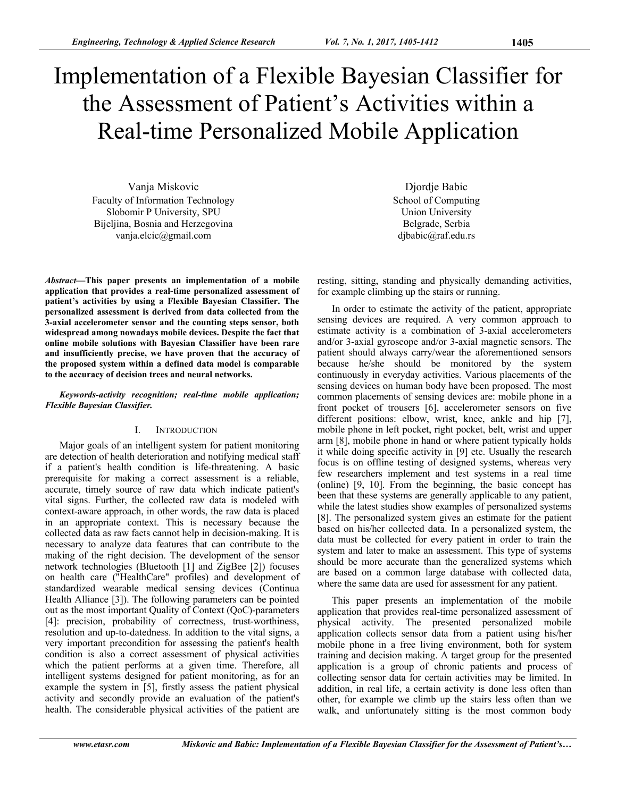# Implementation of a Flexible Bayesian Classifier for the Assessment of Patient's Activities within a Real-time Personalized Mobile Application

Vanja Miskovic Faculty of Ιnformation Τechnology Slobomir P University, SPU Bijeljina, Bosnia and Herzegovina vanja.elcic@gmail.com

*Abstract***—This paper presents an implementation of a mobile application that provides a real-time personalized assessment of patient's activities by using a Flexible Bayesian Classifier. The personalized assessment is derived from data collected from the 3-axial accelerometer sensor and the counting steps sensor, both widespread among nowadays mobile devices. Despite the fact that online mobile solutions with Bayesian Classifier have been rare and insufficiently precise, we have proven that the accuracy of the proposed system within a defined data model is comparable to the accuracy of decision trees and neural networks.** 

*Keywords-activity recognition; real-time mobile application; Flexible Bayesian Classifier.* 

### I. INTRODUCTION

Major goals of an intelligent system for patient monitoring are detection of health deterioration and notifying medical staff if a patient's health condition is life-threatening. A basic prerequisite for making a correct assessment is a reliable, accurate, timely source of raw data which indicate patient's vital signs. Further, the collected raw data is modeled with context-aware approach, in other words, the raw data is placed in an appropriate context. This is necessary because the collected data as raw facts cannot help in decision-making. It is necessary to analyze data features that can contribute to the making of the right decision. The development of the sensor network technologies (Bluetooth [1] and ZigBee [2]) focuses on health care ("HealthCare" profiles) and development of standardized wearable medical sensing devices (Continua Health Alliance [3]). The following parameters can be pointed out as the most important Quality of Context (QoC)-parameters [4]: precision, probability of correctness, trust-worthiness, resolution and up-to-datedness. In addition to the vital signs, a very important precondition for assessing the patient's health condition is also a correct assessment of physical activities which the patient performs at a given time. Therefore, all intelligent systems designed for patient monitoring, as for an example the system in [5], firstly assess the patient physical activity and secondly provide an evaluation of the patient's health. The considerable physical activities of the patient are

Djordje Babic School of Computing Union University Belgrade, Serbia djbabic@raf.edu.rs

resting, sitting, standing and physically demanding activities, for example climbing up the stairs or running.

In order to estimate the activity of the patient, appropriate sensing devices are required. A very common approach to estimate activity is a combination of 3-axial accelerometers and/or 3-axial gyroscope and/or 3-axial magnetic sensors. The patient should always carry/wear the aforementioned sensors because he/she should be monitored by the system continuously in everyday activities. Various placements of the sensing devices on human body have been proposed. The most common placements of sensing devices are: mobile phone in a front pocket of trousers [6], accelerometer sensors on five different positions: elbow, wrist, knee, ankle and hip [7], mobile phone in left pocket, right pocket, belt, wrist and upper arm [8], mobile phone in hand or where patient typically holds it while doing specific activity in [9] etc. Usually the research focus is on offline testing of designed systems, whereas very few researchers implement and test systems in a real time (online) [9, 10]. From the beginning, the basic concept has been that these systems are generally applicable to any patient, while the latest studies show examples of personalized systems [8]. The personalized system gives an estimate for the patient based on his/her collected data. In a personalized system, the data must be collected for every patient in order to train the system and later to make an assessment. This type of systems should be more accurate than the generalized systems which are based on a common large database with collected data, where the same data are used for assessment for any patient.

This paper presents an implementation of the mobile application that provides real-time personalized assessment of physical activity. The presented personalized mobile application collects sensor data from a patient using his/her mobile phone in a free living environment, both for system training and decision making. A target group for the presented application is a group of chronic patients and process of collecting sensor data for certain activities may be limited. In addition, in real life, a certain activity is done less often than other, for example we climb up the stairs less often than we walk, and unfortunately sitting is the most common body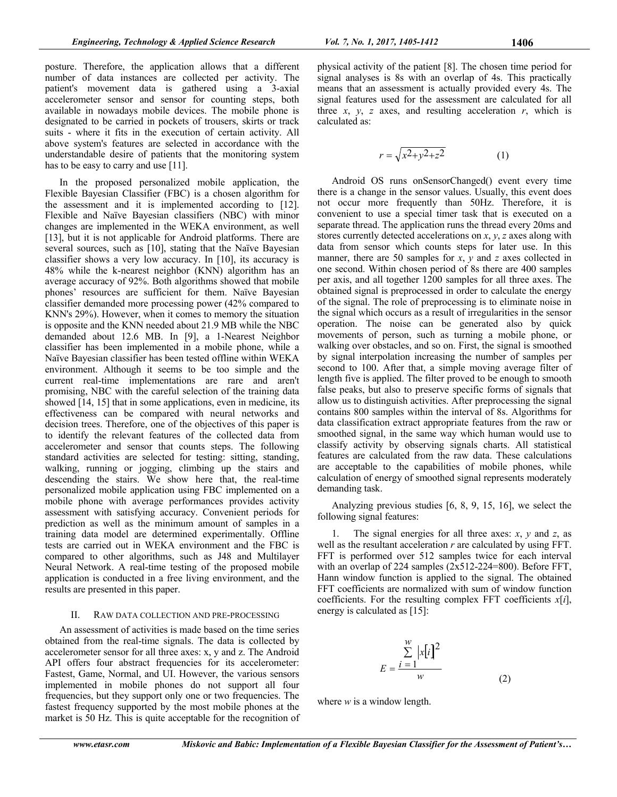posture. Therefore, the application allows that a different number of data instances are collected per activity. The patient's movement data is gathered using a 3-axial accelerometer sensor and sensor for counting steps, both available in nowadays mobile devices. The mobile phone is designated to be carried in pockets of trousers, skirts or track suits - where it fits in the execution of certain activity. All above system's features are selected in accordance with the understandable desire of patients that the monitoring system has to be easy to carry and use [11].

In the proposed personalized mobile application, the Flexible Bayesian Classifier (FBC) is a chosen algorithm for the assessment and it is implemented according to [12]. Flexible and Naïve Bayesian classifiers (NBC) with minor changes are implemented in the WEKA environment, as well [13], but it is not applicable for Android platforms. There are several sources, such as [10], stating that the Naïve Bayesian classifier shows a very low accuracy. In [10], its accuracy is 48% while the k-nearest neighbor (KNN) algorithm has an average accuracy of 92%. Both algorithms showed that mobile phones' resources are sufficient for them. Naïve Bayesian classifier demanded more processing power (42% compared to KNN's 29%). However, when it comes to memory the situation is opposite and the KNN needed about 21.9 MB while the NBC demanded about 12.6 MB. In [9], a 1-Nearest Neighbor classifier has been implemented in a mobile phone, while a Naïve Bayesian classifier has been tested offline within WEKA environment. Although it seems to be too simple and the current real-time implementations are rare and aren't promising, NBC with the careful selection of the training data showed [14, 15] that in some applications, even in medicine, its effectiveness can be compared with neural networks and decision trees. Therefore, one of the objectives of this paper is to identify the relevant features of the collected data from accelerometer and sensor that counts steps. The following standard activities are selected for testing: sitting, standing, walking, running or jogging, climbing up the stairs and descending the stairs. We show here that, the real-time personalized mobile application using FBC implemented on a mobile phone with average performances provides activity assessment with satisfying accuracy. Convenient periods for prediction as well as the minimum amount of samples in a training data model are determined experimentally. Offline tests are carried out in WEKA environment and the FBC is compared to other algorithms, such as J48 and Multilayer Neural Network. A real-time testing of the proposed mobile application is conducted in a free living environment, and the results are presented in this paper.

## II. RAW DATA COLLECTION AND PRE-PROCESSING

An assessment of activities is made based on the time series obtained from the real-time signals. The data is collected by accelerometer sensor for all three axes: x, y and z. The Android API offers four abstract frequencies for its accelerometer: Fastest, Game, Normal, and UI. However, the various sensors implemented in mobile phones do not support all four frequencies, but they support only one or two frequencies. The fastest frequency supported by the most mobile phones at the market is 50 Hz. This is quite acceptable for the recognition of physical activity of the patient [8]. The chosen time period for signal analyses is 8s with an overlap of 4s. This practically means that an assessment is actually provided every 4s. The signal features used for the assessment are calculated for all three  $x$ ,  $y$ ,  $z$  axes, and resulting acceleration  $r$ , which is calculated as:

$$
r = \sqrt{x^2 + y^2 + z^2}
$$
 (1)

Android OS runs onSensorChanged() event every time there is a change in the sensor values. Usually, this event does not occur more frequently than 50Hz. Therefore, it is convenient to use a special timer task that is executed on a separate thread. The application runs the thread every 20ms and stores currently detected accelerations on *x*, *y*, *z* axes along with data from sensor which counts steps for later use. In this manner, there are 50 samples for *x*, *y* and *z* axes collected in one second. Within chosen period of 8s there are 400 samples per axis, and all together 1200 samples for all three axes. The obtained signal is preprocessed in order to calculate the energy of the signal. The role of preprocessing is to eliminate noise in the signal which occurs as a result of irregularities in the sensor operation. The noise can be generated also by quick movements of person, such as turning a mobile phone, or walking over obstacles, and so on. First, the signal is smoothed by signal interpolation increasing the number of samples per second to 100. After that, a simple moving average filter of length five is applied. The filter proved to be enough to smooth false peaks, but also to preserve specific forms of signals that allow us to distinguish activities. After preprocessing the signal contains 800 samples within the interval of 8s. Algorithms for data classification extract appropriate features from the raw or smoothed signal, in the same way which human would use to classify activity by observing signals charts. All statistical features are calculated from the raw data. These calculations are acceptable to the capabilities of mobile phones, while calculation of energy of smoothed signal represents moderately demanding task.

Analyzing previous studies [6, 8, 9, 15, 16], we select the following signal features:

1. The signal energies for all three axes: *x*, *y* and *z*, as well as the resultant acceleration *r* are calculated by using FFT. FFT is performed over 512 samples twice for each interval with an overlap of 224 samples (2x512-224=800). Before FFT, Hann window function is applied to the signal. The obtained FFT coefficients are normalized with sum of window function coefficients. For the resulting complex FFT coefficients *x*[*i*], energy is calculated as [15]:

$$
E = \frac{\sum_{i=1}^{w} |x[i]|^2}{w}
$$
 (2)

where *w* is a window length.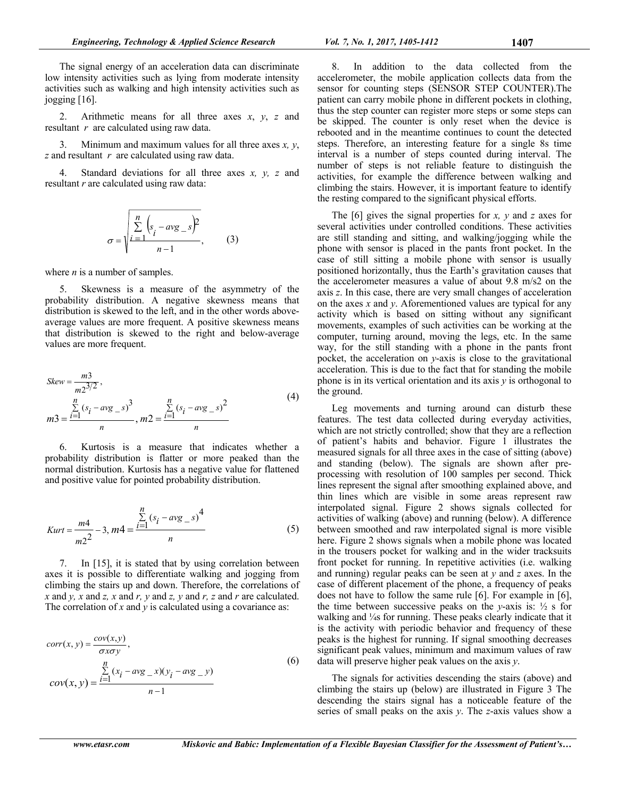The signal energy of an acceleration data can discriminate low intensity activities such as lying from moderate intensity activities such as walking and high intensity activities such as jogging [16].

2. Arithmetic means for all three axes *x*, *y*, *z* and resultant *r* are calculated using raw data.

3. Minimum and maximum values for all three axes *x, y*, *z* and resultant *r* are calculated using raw data.

4. Standard deviations for all three axes *x, y, z* and resultant *r* are calculated using raw data:

$$
\sigma = \sqrt{\sum_{i=1}^{n} \left(s_i - avg_s\right)^2 \over n-1},
$$
 (3)

where *n* is a number of samples.

5. Skewness is a measure of the asymmetry of the probability distribution. A negative skewness means that distribution is skewed to the left, and in the other words aboveaverage values are more frequent. A positive skewness means that distribution is skewed to the right and below-average values are more frequent.

$$
Skew = \frac{m3}{m2^{3/2}},
$$
  
\n
$$
m3 = \frac{\sum_{i=1}^{n} (s_i - avg_s)^3}{n}, m2 = \frac{\sum_{i=1}^{n} (s_i - avg_s)^2}{n}
$$
\n(4)

6. Kurtosis is a measure that indicates whether a probability distribution is flatter or more peaked than the normal distribution. Kurtosis has a negative value for flattened and positive value for pointed probability distribution.

$$
Kurt = \frac{m4}{m2^2} - 3, \, m4 = \frac{\sum_{i=1}^{n} (s_i - avg_{-s})^4}{n} \tag{5}
$$

7. In [15], it is stated that by using correlation between axes it is possible to differentiate walking and jogging from climbing the stairs up and down. Therefore, the correlations of *x* and *y, x* and *z, x* and *r, y* and *z, y* and *r, z* and *r* are calculated. The correlation of *x* and *y* is calculated using a covariance as:

$$
corr(x, y) = \frac{cov(x, y)}{\sigma x \sigma y},
$$
  
\n
$$
cov(x, y) = \frac{\sum_{i=1}^{n} (x_i - avg_x)(y_i - avg_y)}{n-1}
$$
\n(6)

8. In addition to the data collected from the accelerometer, the mobile application collects data from the sensor for counting steps (SENSOR STEP COUNTER).The patient can carry mobile phone in different pockets in clothing, thus the step counter can register more steps or some steps can be skipped. The counter is only reset when the device is rebooted and in the meantime continues to count the detected steps. Therefore, an interesting feature for a single 8s time interval is a number of steps counted during interval. The number of steps is not reliable feature to distinguish the activities, for example the difference between walking and climbing the stairs. However, it is important feature to identify the resting compared to the significant physical efforts.

The [6] gives the signal properties for *x, y* and *z* axes for several activities under controlled conditions. These activities are still standing and sitting, and walking/jogging while the phone with sensor is placed in the pants front pocket. In the case of still sitting a mobile phone with sensor is usually positioned horizontally, thus the Earth's gravitation causes that the accelerometer measures a value of about 9.8 m/s2 on the axis *z*. In this case, there are very small changes of acceleration on the axes *x* and *y*. Aforementioned values are typical for any activity which is based on sitting without any significant movements, examples of such activities can be working at the computer, turning around, moving the legs, etc. In the same way, for the still standing with a phone in the pants front pocket, the acceleration on *y*-axis is close to the gravitational acceleration. This is due to the fact that for standing the mobile phone is in its vertical orientation and its axis *y* is orthogonal to the ground.

Leg movements and turning around can disturb these features. The test data collected during everyday activities, which are not strictly controlled; show that they are a reflection of patient's habits and behavior. Figure 1 illustrates the measured signals for all three axes in the case of sitting (above) and standing (below). The signals are shown after preprocessing with resolution of 100 samples per second. Thick lines represent the signal after smoothing explained above, and thin lines which are visible in some areas represent raw interpolated signal. Figure 2 shows signals collected for activities of walking (above) and running (below). A difference between smoothed and raw interpolated signal is more visible here. Figure 2 shows signals when a mobile phone was located in the trousers pocket for walking and in the wider tracksuits front pocket for running. In repetitive activities (i.e. walking and running) regular peaks can be seen at *y* and *z* axes. In the case of different placement of the phone, a frequency of peaks does not have to follow the same rule [6]. For example in [6], the time between successive peaks on the *y*-axis is:  $\frac{1}{2}$  s for walking and ¼s for running. These peaks clearly indicate that it is the activity with periodic behavior and frequency of these peaks is the highest for running. If signal smoothing decreases significant peak values, minimum and maximum values of raw data will preserve higher peak values on the axis *y*.

The signals for activities descending the stairs (above) and climbing the stairs up (below) are illustrated in Figure 3 The descending the stairs signal has a noticeable feature of the series of small peaks on the axis *y*. The *z*-axis values show a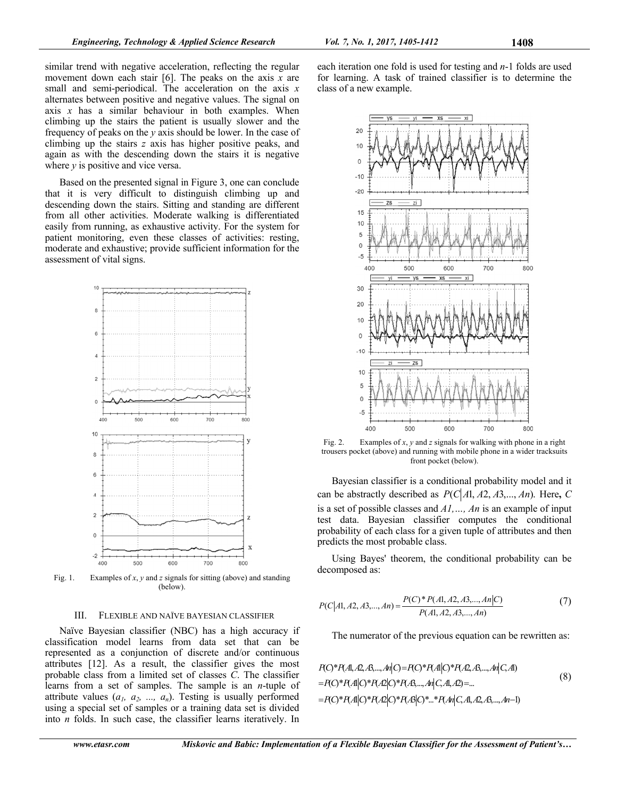similar trend with negative acceleration, reflecting the regular movement down each stair [6]. The peaks on the axis *x* are small and semi-periodical. The acceleration on the axis *x* alternates between positive and negative values. The signal on axis  $x$  has a similar behaviour in both examples. When climbing up the stairs the patient is usually slower and the frequency of peaks on the *y* axis should be lower. In the case of climbing up the stairs *z* axis has higher positive peaks, and again as with the descending down the stairs it is negative where *y* is positive and vice versa.

Based on the presented signal in Figure 3, one can conclude that it is very difficult to distinguish climbing up and descending down the stairs. Sitting and standing are different from all other activities. Moderate walking is differentiated easily from running, as exhaustive activity. For the system for patient monitoring, even these classes of activities: resting, moderate and exhaustive; provide sufficient information for the assessment of vital signs.



Fig. 1. Examples of *x*, *y* and *z* signals for sitting (above) and standing (below).

#### III. FLEXIBLE AND NAÏVE BAYESIAN CLASSIFIER

Naïve Bayesian classifier (NBC) has a high accuracy if classification model learns from data set that can be represented as a conjunction of discrete and/or continuous attributes [12]. As a result, the classifier gives the most probable class from a limited set of classes  $\tilde{C}$ . The classifier learns from a set of samples. The sample is an *n*-tuple of attribute values  $(a_1, a_2, ..., a_n)$ . Testing is usually performed using a special set of samples or a training data set is divided into *n* folds. In such case, the classifier learns iteratively. In

each iteration one fold is used for testing and *n*-1 folds are used for learning. A task of trained classifier is to determine the class of a new example.



Fig. 2. Examples of *x*, *y* and *z* signals for walking with phone in a right trousers pocket (above) and running with mobile phone in a wider tracksuits front pocket (below).

Bayesian classifier is a conditional probability model and it can be abstractly described as  $P(C|A1, A2, A3, \ldots, An)$ . Here, C is a set of possible classes and *A1,…, An* is an example of input test data. Bayesian classifier computes the conditional probability of each class for a given tuple of attributes and then predicts the most probable class.

Using Bayes' theorem, the conditional probability can be decomposed as:

$$
P(C|A1, A2, A3,..., An) = \frac{P(C)^* P(A1, A2, A3,..., An|C)}{P(A1, A2, A3,..., An)}
$$
(7)

The numerator of the previous equation can be rewritten as:

$$
P(O^*P(A, A, A, A, ..., An|C) = P(O^*P(A|C)^*P(A, A, ..., An|C, A))
$$
  
=  $P(O^*P(A|C)^*P(A|C)^*P(A, ..., An|C, A, A) = ...$   
=  $P(O^*P(A|C)^*P(A|C)^*P(A|C)^*...*P(An|C, A, A, A, ..., An-1)$  (8)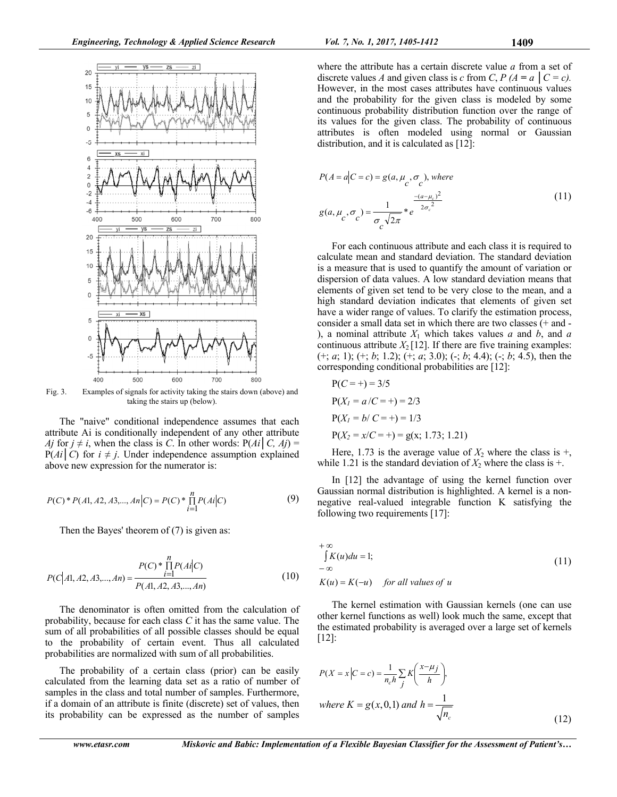

Fig. 3. Examples of signals for activity taking the stairs down (above) and taking the stairs up (below).

The "naive" conditional independence assumes that each attribute Ai is conditionally independent of any other attribute *Aj* for  $j \neq i$ , when the class is *C*. In other words:  $P(Ai | C, Aj) =$  $P(Ai|C)$  for  $i \neq j$ . Under independence assumption explained above new expression for the numerator is:

$$
P(C) * P(A1, A2, A3, \dots, An|C) = P(C) * \prod_{i=1}^{n} P(Ai|C)
$$
 (9)

Then the Bayes' theorem of (7) is given as:

$$
P(C|A1, A2, A3,..., An) = \frac{P(C) * \prod_{i=1}^{n} P(Ai|C)}{P(A1, A2, A3,..., An)}
$$
(10)

The denominator is often omitted from the calculation of probability, because for each class *C* it has the same value. The sum of all probabilities of all possible classes should be equal to the probability of certain event. Thus all calculated probabilities are normalized with sum of all probabilities.

The probability of a certain class (prior) can be easily calculated from the learning data set as a ratio of number of samples in the class and total number of samples. Furthermore, if a domain of an attribute is finite (discrete) set of values, then its probability can be expressed as the number of samples

where the attribute has a certain discrete value *a* from a set of discrete values *A* and given class is *c* from *C*,  $P(A = a \mid C = c)$ . However, in the most cases attributes have continuous values and the probability for the given class is modeled by some continuous probability distribution function over the range of its values for the given class. The probability of continuous attributes is often modeled using normal or Gaussian distribution, and it is calculated as [12]:

$$
P(A = a|C = c) = g(a, \mu_c, \sigma_c), \text{ where}
$$
  

$$
g(a, \mu_c, \sigma_c) = \frac{1}{\sigma_c \sqrt{2\pi}} *e^{-2\sigma_c^2}
$$
 (11)

For each continuous attribute and each class it is required to calculate mean and standard deviation. The standard deviation is a measure that is used to quantify the amount of variation or dispersion of data values. A low standard deviation means that elements of given set tend to be very close to the mean, and a high standard deviation indicates that elements of given set have a wider range of values. To clarify the estimation process, consider a small data set in which there are two classes (+ and - ), a nominal attribute *X*1 which takes values *a* and *b*, and *a* continuous attribute  $X_2$  [12]. If there are five training examples: (+; *a*; 1); (+; *b*; 1.2); (+; *a*; 3.0); (-; *b*; 4.4); (-; *b*; 4.5), then the corresponding conditional probabilities are [12]:

$$
P(C = +) = 3/5
$$
  
\n
$$
P(X1 = a/C = +) = 2/3
$$
  
\n
$$
P(X1 = b/C = +) = 1/3
$$
  
\n
$$
P(X2 = x/C = +) = g(x; 1.73; 1.21)
$$

Here, 1.73 is the average value of  $X_2$  where the class is  $+$ , while 1.21 is the standard deviation of  $X_2$  where the class is  $+$ .

In [12] the advantage of using the kernel function over Gaussian normal distribution is highlighted. A kernel is a nonnegative real-valued integrable function K satisfying the following two requirements [17]:

$$
+ \infty
$$
  
\n
$$
\int K(u) du = 1;
$$
  
\n
$$
-\infty
$$
  
\n
$$
K(u) = K(-u) \quad \text{for all values of } u
$$
\n(11)

The kernel estimation with Gaussian kernels (one can use other kernel functions as well) look much the same, except that the estimated probability is averaged over a large set of kernels [12]:

$$
P(X = x | C = c) = \frac{1}{n_c h} \sum_{j} K\left(\frac{x - \mu_j}{h}\right),
$$
  
where  $K = g(x, 0, 1)$  and  $h = \frac{1}{\sqrt{n_c}}$  (12)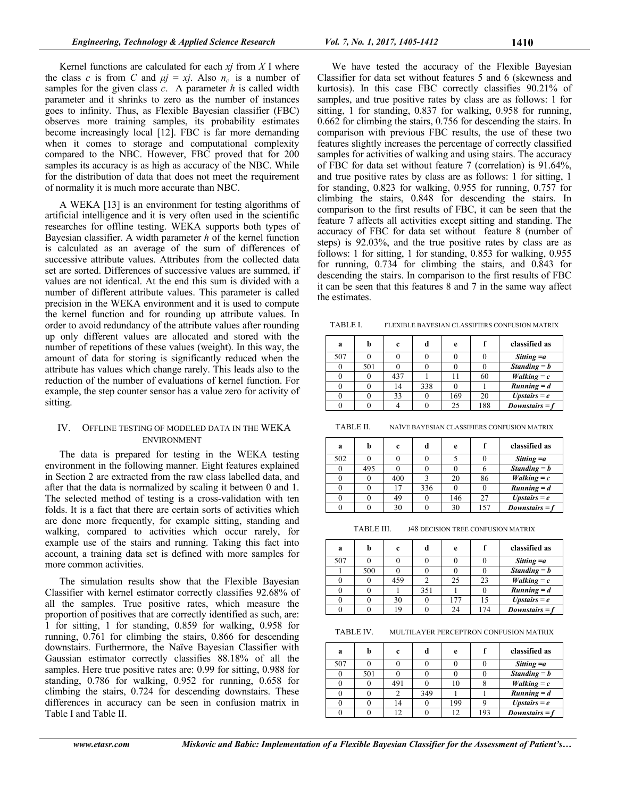Kernel functions are calculated for each *xj* from *X* I where the class *c* is from *C* and  $\mu j = xj$ . Also  $n_c$  is a number of samples for the given class *c*. A parameter *h* is called width parameter and it shrinks to zero as the number of instances goes to infinity. Thus, as Flexible Bayesian classifier (FBC) observes more training samples, its probability estimates become increasingly local [12]. FBC is far more demanding when it comes to storage and computational complexity compared to the NBC. However, FBC proved that for 200 samples its accuracy is as high as accuracy of the NBC. While for the distribution of data that does not meet the requirement of normality it is much more accurate than NBC.

A WEKA [13] is an environment for testing algorithms of artificial intelligence and it is very often used in the scientific researches for offline testing. WEKA supports both types of Bayesian classifier. A width parameter *h* of the kernel function is calculated as an average of the sum of differences of successive attribute values. Attributes from the collected data set are sorted. Differences of successive values are summed, if values are not identical. At the end this sum is divided with a number of different attribute values. This parameter is called precision in the WEKA environment and it is used to compute the kernel function and for rounding up attribute values. In order to avoid redundancy of the attribute values after rounding up only different values are allocated and stored with the number of repetitions of these values (weight). In this way, the amount of data for storing is significantly reduced when the attribute has values which change rarely. This leads also to the reduction of the number of evaluations of kernel function. For example, the step counter sensor has a value zero for activity of sitting.

# IV. OFFLINE TESTING OF MODELED DATA IN THE WEKA ENVIRONMENT

The data is prepared for testing in the WEKA testing environment in the following manner. Eight features explained in Section 2 are extracted from the raw class labelled data, and after that the data is normalized by scaling it between 0 and 1. The selected method of testing is a cross-validation with ten folds. It is a fact that there are certain sorts of activities which are done more frequently, for example sitting, standing and walking, compared to activities which occur rarely, for example use of the stairs and running. Taking this fact into account, a training data set is defined with more samples for more common activities.

The simulation results show that the Flexible Bayesian Classifier with kernel estimator correctly classifies 92.68% of all the samples. True positive rates, which measure the proportion of positives that are correctly identified as such, are: 1 for sitting, 1 for standing, 0.859 for walking, 0.958 for running, 0.761 for climbing the stairs, 0.866 for descending downstairs. Furthermore, the Naïve Bayesian Classifier with Gaussian estimator correctly classifies 88.18% of all the samples. Here true positive rates are: 0.99 for sitting, 0.988 for standing, 0.786 for walking, 0.952 for running, 0.658 for climbing the stairs, 0.724 for descending downstairs. These differences in accuracy can be seen in confusion matrix in Table I and Table II.

We have tested the accuracy of the Flexible Bayesian Classifier for data set without features 5 and 6 (skewness and kurtosis). In this case FBC correctly classifies 90.21% of samples, and true positive rates by class are as follows: 1 for sitting, 1 for standing, 0.837 for walking, 0.958 for running, 0.662 for climbing the stairs, 0.756 for descending the stairs. In comparison with previous FBC results, the use of these two features slightly increases the percentage of correctly classified samples for activities of walking and using stairs. The accuracy of FBC for data set without feature 7 (correlation) is 91.64%, and true positive rates by class are as follows: 1 for sitting, 1 for standing, 0.823 for walking, 0.955 for running, 0.757 for climbing the stairs, 0.848 for descending the stairs. In comparison to the first results of FBC, it can be seen that the feature 7 affects all activities except sitting and standing. The accuracy of FBC for data set without feature 8 (number of steps) is 92.03%, and the true positive rates by class are as follows: 1 for sitting, 1 for standing, 0.853 for walking, 0.955 for running, 0.734 for climbing the stairs, and 0.843 for descending the stairs. In comparison to the first results of FBC it can be seen that this features 8 and 7 in the same way affect the estimates.

TABLE I. FLEXIBLE BAYESIAN CLASSIFIERS CONFUSION MATRIX

| a   |     | c   | đ   | e   |     | classified as           |
|-----|-----|-----|-----|-----|-----|-------------------------|
| 507 |     |     |     |     |     | Sitting $=a$            |
|     | 501 |     |     |     |     | $Standing = b$          |
|     |     | 437 |     |     | 60  | $Walking = c$           |
|     |     | 14  | 338 |     |     | $Running = d$           |
|     |     | 33  |     | 169 | 20  | $Up{\text{stairs}} = e$ |
|     |     |     |     | 25  | 188 | Downstairs = $f$        |

TABLE II. NAÏVE BAYESIAN CLASSIFIERS CONFUSION MATRIX

| a   | h   | c   |     | e   |     | classified as             |
|-----|-----|-----|-----|-----|-----|---------------------------|
| 502 |     |     |     |     |     | Sitting $=a$              |
|     | 495 |     |     |     |     | $Standing = b$            |
|     |     | 400 |     | 20  | 86  | $Walking = c$             |
|     |     | 17  | 336 |     |     | $\overline{R}$ unning = d |
|     |     | 49  |     | 146 | 27  | $Up{\text{stairs}} = e$   |
|     |     | 30  |     | 30  | 157 | Downstairs $= f$          |

TABLE III. J48 DECISION TREE CONFUSION MATRIX

| a   | h   | c   | d   | e  |     | classified as           |
|-----|-----|-----|-----|----|-----|-------------------------|
| 507 |     |     |     |    |     | Sitting $=a$            |
|     | 500 |     |     |    |     | Standing $= b$          |
|     |     | 459 |     | 25 | 23  | $Walking = c$           |
|     |     |     | 351 |    |     | $Running = d$           |
|     |     | 30  |     |    | 15  | $Up{\text{stairs}} = e$ |
|     |     |     |     |    | 174 | Downstairs = $f$        |

TABLE IV. MULTILAYER PERCEPTRON CONFUSION MATRIX

| a   | h   | c   | d   | e   |     | classified as           |
|-----|-----|-----|-----|-----|-----|-------------------------|
| 507 |     |     |     |     |     | Sitting $=a$            |
|     | 501 |     |     |     |     | $Standing = b$          |
|     |     | 491 |     |     |     | $Walking = c$           |
|     |     |     | 349 |     |     | $Running = d$           |
|     |     | 14  |     | 199 |     | $Up{\text{stairs}} = e$ |
|     |     |     |     |     | 193 | Downstairs = $f$        |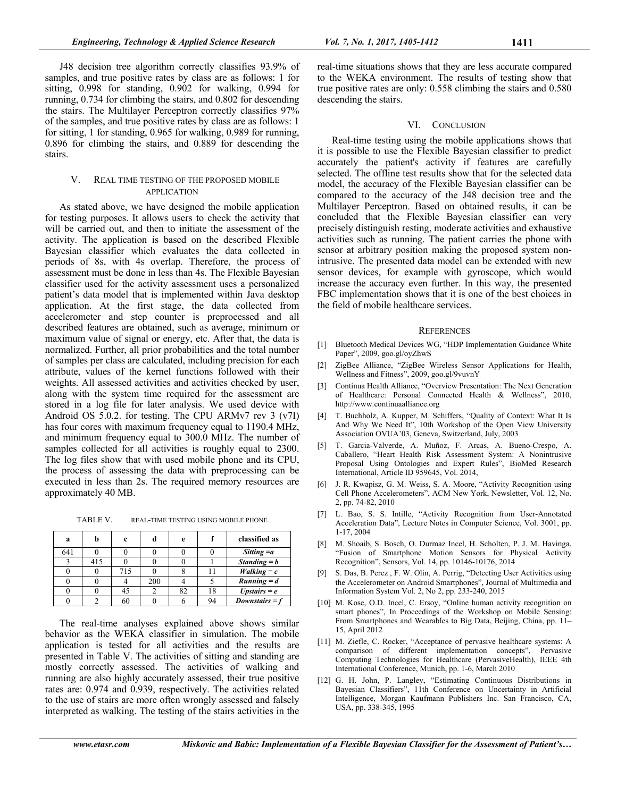J48 decision tree algorithm correctly classifies 93.9% of samples, and true positive rates by class are as follows: 1 for sitting, 0.998 for standing, 0.902 for walking, 0.994 for running, 0.734 for climbing the stairs, and 0.802 for descending the stairs. The Multilayer Perceptron correctly classifies 97% of the samples, and true positive rates by class are as follows: 1 for sitting, 1 for standing, 0.965 for walking, 0.989 for running, 0.896 for climbing the stairs, and 0.889 for descending the stairs.

## V. REAL TIME TESTING OF THE PROPOSED MOBILE APPLICATION

As stated above, we have designed the mobile application for testing purposes. It allows users to check the activity that will be carried out, and then to initiate the assessment of the activity. The application is based on the described Flexible Bayesian classifier which evaluates the data collected in periods of 8s, with 4s overlap. Therefore, the process of assessment must be done in less than 4s. The Flexible Bayesian classifier used for the activity assessment uses a personalized patient's data model that is implemented within Java desktop application. At the first stage, the data collected from accelerometer and step counter is preprocessed and all described features are obtained, such as average, minimum or maximum value of signal or energy, etc. After that, the data is normalized. Further, all prior probabilities and the total number of samples per class are calculated, including precision for each attribute, values of the kernel functions followed with their weights. All assessed activities and activities checked by user, along with the system time required for the assessment are stored in a log file for later analysis. We used device with Android OS 5.0.2. for testing. The CPU ARMv7 rev 3 (v7I) has four cores with maximum frequency equal to 1190.4 MHz, and minimum frequency equal to 300.0 MHz. The number of samples collected for all activities is roughly equal to 2300. The log files show that with used mobile phone and its CPU, the process of assessing the data with preprocessing can be executed in less than 2s. The required memory resources are approximately 40 MB.

TABLE V. REAL-TIME TESTING USING MOBILE PHONE

| a   |     | c   |     | e  |    | classified as           |
|-----|-----|-----|-----|----|----|-------------------------|
| 641 |     |     |     |    |    | Sitting $=a$            |
|     | 415 |     |     |    |    | Standing $= b$          |
|     |     | 715 |     |    |    | $Walking = c$           |
|     |     |     | 200 |    |    | $Running = d$           |
|     |     | 45  |     | 82 | 18 | $Up{\text{stairs}} = e$ |
|     |     | 60  |     |    | 94 | $Downstairs = f$        |

The real-time analyses explained above shows similar behavior as the WEKA classifier in simulation. The mobile application is tested for all activities and the results are presented in Table V. The activities of sitting and standing are mostly correctly assessed. The activities of walking and running are also highly accurately assessed, their true positive rates are: 0.974 and 0.939, respectively. The activities related to the use of stairs are more often wrongly assessed and falsely interpreted as walking. The testing of the stairs activities in the real-time situations shows that they are less accurate compared to the WEKA environment. The results of testing show that true positive rates are only: 0.558 climbing the stairs and 0.580 descending the stairs.

#### VI. CONCLUSION

Real-time testing using the mobile applications shows that it is possible to use the Flexible Bayesian classifier to predict accurately the patient's activity if features are carefully selected. The offline test results show that for the selected data model, the accuracy of the Flexible Bayesian classifier can be compared to the accuracy of the J48 decision tree and the Multilayer Perceptron. Based on obtained results, it can be concluded that the Flexible Bayesian classifier can very precisely distinguish resting, moderate activities and exhaustive activities such as running. The patient carries the phone with sensor at arbitrary position making the proposed system nonintrusive. The presented data model can be extended with new sensor devices, for example with gyroscope, which would increase the accuracy even further. In this way, the presented FBC implementation shows that it is one of the best choices in the field of mobile healthcare services.

#### **REFERENCES**

- [1] Bluetooth Medical Devices WG, "HDP Implementation Guidance White Paper", 2009, goo.gl/oyZhwS
- [2] ZigBee Alliance, "ZigBee Wireless Sensor Applications for Health, Wellness and Fitness", 2009, goo.gl/9vuvnY
- [3] Continua Health Alliance, "Overview Presentation: The Next Generation of Healthcare: Personal Connected Health & Wellness", 2010, http://www.continuaalliance.org
- [4] T. Buchholz, A. Kupper, M. Schiffers, "Quality of Context: What It Is And Why We Need It", 10th Workshop of the Open View University Association OVUA'03, Geneva, Switzerland, July, 2003
- [5] T. Garcia-Valverde, A. Muñoz, F. Arcas, A. Bueno-Crespo, A. Caballero, "Heart Health Risk Assessment System: A Nonintrusive Proposal Using Ontologies and Expert Rules", BioMed Research International, Article ID 959645, Vol. 2014,
- [6] J. R. Kwapisz, G. M. Weiss, S. A. Moore, "Activity Recognition using Cell Phone Accelerometers", ACM New York, Newsletter, Vol. 12, No. 2, pp. 74-82, 2010
- [7] L. Bao, S. S. Intille, "Activity Recognition from User-Annotated Acceleration Data", Lecture Notes in Computer Science, Vol. 3001, pp. 1-17, 2004
- [8] M. Shoaib, S. Bosch, O. Durmaz Incel, H. Scholten, P. J. M. Havinga, "Fusion of Smartphone Motion Sensors for Physical Activity Recognition", Sensors, Vol. 14, pp. 10146-10176, 2014
- [9] S. Das, B. Perez , F. W. Olin, A. Perrig, "Detecting User Activities using the Accelerometer on Android Smartphones", Journal of Multimedia and Information System Vol. 2, No 2, pp. 233-240, 2015
- [10] M. Kose, O.D. Incel, C. Ersoy, "Online human activity recognition on smart phones", In Proceedings of the Workshop on Mobile Sensing: From Smartphones and Wearables to Big Data, Beijing, China, pp. 11– 15, April 2012
- [11] M. Ziefle, C. Rocker, "Acceptance of pervasive healthcare systems: A comparison of different implementation concepts", Pervasive Computing Technologies for Healthcare (PervasiveHealth), IEEE 4th International Conference, Munich, pp. 1-6, March 2010
- [12] G. H. John, P. Langley, "Estimating Continuous Distributions in Bayesian Classifiers", 11th Conference on Uncertainty in Artificial Intelligence, Morgan Kaufmann Publishers Inc. San Francisco, CA, USA, pp. 338-345, 1995